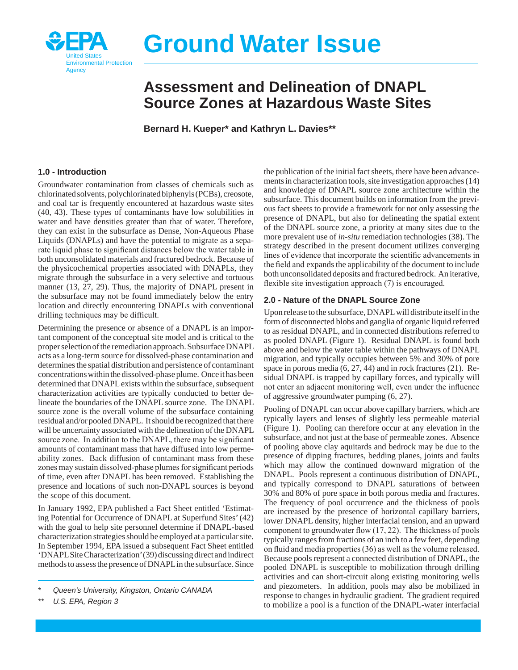

# **Ground Water Issue**

# **Assessment and Delineation of DNAPL Source Zones at Hazardous Waste Sites**

**Bernard H. Kueper\* and Kathryn L. Davies\*\***

## **1.0 - Introduction**

Groundwater contamination from classes of chemicals such as chlorinated solvents, polychlorinated biphenyls (PCBs), creosote, and coal tar is frequently encountered at hazardous waste sites (40, 43). These types of contaminants have low solubilities in water and have densities greater than that of water. Therefore, they can exist in the subsurface as Dense, Non-Aqueous Phase Liquids (DNAPLs) and have the potential to migrate as a separate liquid phase to significant distances below the water table in both unconsolidated materials and fractured bedrock. Because of the physicochemical properties associated with DNAPLs, they migrate through the subsurface in a very selective and tortuous manner (13, 27, 29). Thus, the majority of DNAPL present in the subsurface may not be found immediately below the entry location and directly encountering DNAPLs with conventional drilling techniques may be difficult.

Determining the presence or absence of a DNAPL is an important component of the conceptual site model and is critical to the proper selection of the remediation approach. Subsurface DNAPL acts as a long-term source for dissolved-phase contamination and determines the spatial distribution and persistence of contaminant concentrations within the dissolved-phase plume. Once it has been determined that DNAPL exists within the subsurface, subsequent characterization activities are typically conducted to better delineate the boundaries of the DNAPL source zone. The DNAPL source zone is the overall volume of the subsurface containing residual and/or pooled DNAPL. It should be recognized that there will be uncertainty associated with the delineation of the DNAPL source zone. In addition to the DNAPL, there may be significant amounts of contaminant mass that have diffused into low permeability zones. Back diffusion of contaminant mass from these zones may sustain dissolved-phase plumes for significant periods of time, even after DNAPL has been removed. Establishing the presence and locations of such non-DNAPL sources is beyond the scope of this document.

In January 1992, EPA published a Fact Sheet entitled 'Estimating Potential for Occurrence of DNAPL at Superfund Sites' (42) with the goal to help site personnel determine if DNAPL-based characterization strategies should be employed at a particular site. In September 1994, EPA issued a subsequent Fact Sheet entitled 'DNAPL Site Characterization' (39) discussing direct and indirect methods to assess the presence of DNAPL in the subsurface. Since

the publication of the initial fact sheets, there have been advancements in characterization tools, site investigation approaches (14) and knowledge of DNAPL source zone architecture within the subsurface. This document builds on information from the previous fact sheets to provide a framework for not only assessing the presence of DNAPL, but also for delineating the spatial extent of the DNAPL source zone, a priority at many sites due to the more prevalent use of *in-situ* remediation technologies (38). The strategy described in the present document utilizes converging lines of evidence that incorporate the scientific advancements in the field and expands the applicability of the document to include both unconsolidated deposits and fractured bedrock. An iterative, flexible site investigation approach (7) is encouraged.

## **2.0 - Nature of the DNAPL Source Zone**

Upon release to the subsurface, DNAPLwill distribute itself in the form of disconnected blobs and ganglia of organic liquid referred to as residual DNAPL, and in connected distributions referred to as pooled DNAPL (Figure 1). Residual DNAPL is found both above and below the water table within the pathways of DNAPL migration, and typically occupies between 5% and 30% of pore space in porous media (6, 27, 44) and in rock fractures (21). Residual DNAPL is trapped by capillary forces, and typically will not enter an adjacent monitoring well, even under the influence of aggressive groundwater pumping (6, 27).

Pooling of DNAPL can occur above capillary barriers, which are typically layers and lenses of slightly less permeable material (Figure 1). Pooling can therefore occur at any elevation in the subsurface, and not just at the base of permeable zones. Absence of pooling above clay aquitards and bedrock may be due to the presence of dipping fractures, bedding planes, joints and faults which may allow the continued downward migration of the DNAPL. Pools represent a continuous distribution of DNAPL, and typically correspond to DNAPL saturations of between 30% and 80% of pore space in both porous media and fractures. The frequency of pool occurrence and the thickness of pools are increased by the presence of horizontal capillary barriers, lower DNAPL density, higher interfacial tension, and an upward component to groundwater flow  $(17, 22)$ . The thickness of pools typically ranges from fractions of an inch to a few feet, depending on fluid and media properties (36) as well as the volume released. Because pools represent a connected distribution of DNAPL, the pooled DNAPL is susceptible to mobilization through drilling activities and can short-circuit along existing monitoring wells and piezometers. In addition, pools may also be mobilized in response to changes in hydraulic gradient. The gradient required to mobilize a pool is a function of the DNAPL-water interfacial

*<sup>\*</sup> Queen's University, Kingston, Ontario CANADA*

*<sup>\*\*</sup> U.S. EPA, Region 3*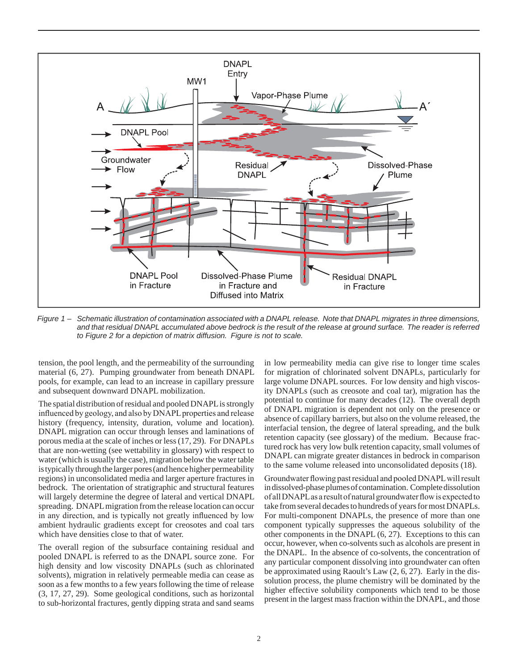

*Figure 1 – Schematic illustration of contamination associated with a DNAPL release. Note that DNAPL migrates in three dimensions, and that residual DNAPL accumulated above bedrock is the result of the release at ground surface. The reader is referred to Figure 2 for a depiction of matrix diffusion. Figure is not to scale.* 

tension, the pool length, and the permeability of the surrounding material (6, 27). Pumping groundwater from beneath DNAPL pools, for example, can lead to an increase in capillary pressure and subsequent downward DNAPL mobilization.

The spatial distribution of residual and pooled DNAPL is strongly influenced by geology, and also by DNAPL properties and release history (frequency, intensity, duration, volume and location). DNAPL migration can occur through lenses and laminations of porous media at the scale of inches or less (17, 29). For DNAPLs that are non-wetting (see wettability in glossary) with respect to water (which is usually the case), migration below the water table is typically through the larger pores (and hence higher permeability regions) in unconsolidated media and larger aperture fractures in bedrock. The orientation of stratigraphic and structural features will largely determine the degree of lateral and vertical DNAPL spreading. DNAPL migration from the release location can occur in any direction, and is typically not greatly influenced by low ambient hydraulic gradients except for creosotes and coal tars which have densities close to that of water.

The overall region of the subsurface containing residual and pooled DNAPL is referred to as the DNAPL source zone. For high density and low viscosity DNAPLs (such as chlorinated solvents), migration in relatively permeable media can cease as soon as a few months to a few years following the time of release (3, 17, 27, 29). Some geological conditions, such as horizontal to sub-horizontal fractures, gently dipping strata and sand seams

in low permeability media can give rise to longer time scales for migration of chlorinated solvent DNAPLs, particularly for large volume DNAPL sources. For low density and high viscosity DNAPLs (such as creosote and coal tar), migration has the potential to continue for many decades (12). The overall depth of DNAPL migration is dependent not only on the presence or absence of capillary barriers, but also on the volume released, the interfacial tension, the degree of lateral spreading, and the bulk retention capacity (see glossary) of the medium. Because fractured rock has very low bulk retention capacity, small volumes of DNAPL can migrate greater distances in bedrock in comparison to the same volume released into unconsolidated deposits (18).

Groundwater flowing past residual and pooled DNAPL will result in dissolved-phase plumes of contamination. Complete dissolution of all DNAPL as a result of natural groundwater flow is expected to take from several decades to hundreds of years for most DNAPLs. For multi-component DNAPLs, the presence of more than one component typically suppresses the aqueous solubility of the other components in the DNAPL (6, 27). Exceptions to this can occur, however, when co-solvents such as alcohols are present in the DNAPL. In the absence of co-solvents, the concentration of any particular component dissolving into groundwater can often be approximated using Raoult's Law (2, 6, 27). Early in the dissolution process, the plume chemistry will be dominated by the higher effective solubility components which tend to be those present in the largest mass fraction within the DNAPL, and those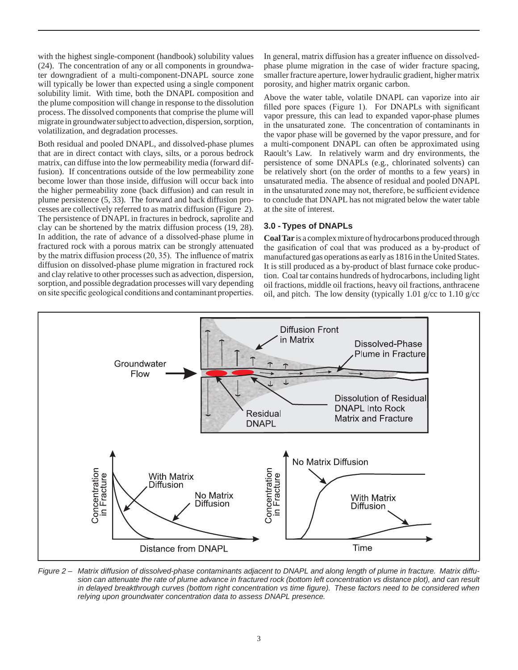with the highest single-component (handbook) solubility values (24). The concentration of any or all components in groundwater downgradient of a multi-component-DNAPL source zone will typically be lower than expected using a single component solubility limit. With time, both the DNAPL composition and the plume composition will change in response to the dissolution process. The dissolved components that comprise the plume will migrate in groundwater subject to advection, dispersion, sorption, volatilization, and degradation processes.

Both residual and pooled DNAPL, and dissolved-phase plumes that are in direct contact with clays, silts, or a porous bedrock matrix, can diffuse into the low permeability media (forward diffusion). If concentrations outside of the low permeability zone become lower than those inside, diffusion will occur back into the higher permeability zone (back diffusion) and can result in plume persistence (5, 33). The forward and back diffusion processes are collectively referred to as matrix diffusion (Figure 2). The persistence of DNAPL in fractures in bedrock, saprolite and clay can be shortened by the matrix diffusion process (19, 28). In addition, the rate of advance of a dissolved-phase plume in fractured rock with a porous matrix can be strongly attenuated by the matrix diffusion process (20, 35). The influence of matrix diffusion on dissolved-phase plume migration in fractured rock and clay relative to other processes such as advection, dispersion, sorption, and possible degradation processes will vary depending on site specific geological conditions and contaminant properties.

In general, matrix diffusion has a greater influence on dissolvedphase plume migration in the case of wider fracture spacing, smaller fracture aperture, lower hydraulic gradient, higher matrix porosity, and higher matrix organic carbon.

Above the water table, volatile DNAPL can vaporize into air filled pore spaces (Figure 1). For DNAPLs with significant vapor pressure, this can lead to expanded vapor-phase plumes in the unsaturated zone. The concentration of contaminants in the vapor phase will be governed by the vapor pressure, and for a multi-component DNAPL can often be approximated using Raoult's Law. In relatively warm and dry environments, the persistence of some DNAPLs (e.g., chlorinated solvents) can be relatively short (on the order of months to a few years) in unsaturated media. The absence of residual and pooled DNAPL in the unsaturated zone may not, therefore, be sufficient evidence to conclude that DNAPL has not migrated below the water table at the site of interest.

#### **3.0 - Types of DNAPLs**

**Coal Tar** is a complex mixture of hydrocarbons produced through the gasification of coal that was produced as a by-product of manufactured gas operations as early as 1816 in the United States. It is still produced as a by-product of blast furnace coke production. Coal tar contains hundreds of hydrocarbons, including light oil fractions, middle oil fractions, heavy oil fractions, anthracene oil, and pitch. The low density (typically 1.01 g/cc to 1.10 g/cc



*Figure 2 – Matrix diffusion of dissolved-phase contaminants adjacent to DNAPL and along length of plume in fracture. Matrix diffusion can attenuate the rate of plume advance in fractured rock (bottom left concentration vs distance plot), and can result in delayed breakthrough curves (bottom right concentration vs time figure). These factors need to be considered when relying upon groundwater concentration data to assess DNAPL presence.*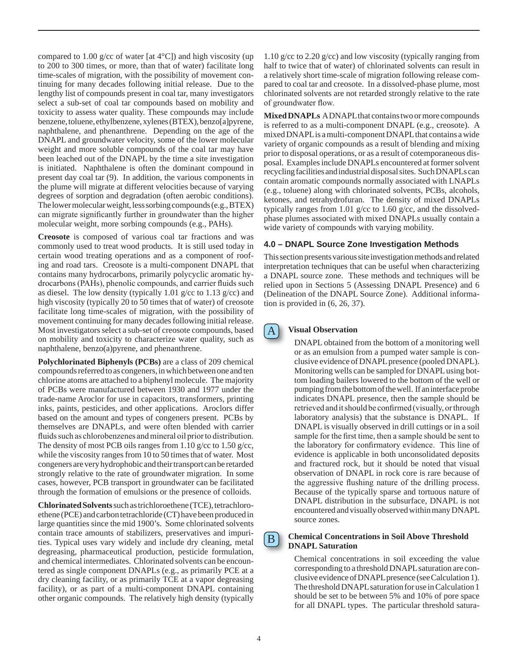compared to 1.00 g/cc of water [at  $4^{\circ}$ C]) and high viscosity (up to 200 to 300 times, or more, than that of water) facilitate long time-scales of migration, with the possibility of movement continuing for many decades following initial release. Due to the lengthy list of compounds present in coal tar, many investigators select a sub-set of coal tar compounds based on mobility and toxicity to assess water quality. These compounds may include benzene, toluene, ethylbenzene, xylenes (BTEX), benzo[a]pyrene, naphthalene, and phenanthrene. Depending on the age of the DNAPL and groundwater velocity, some of the lower molecular weight and more soluble compounds of the coal tar may have been leached out of the DNAPL by the time a site investigation is initiated. Naphthalene is often the dominant compound in present day coal tar (9). In addition, the various components in the plume will migrate at different velocities because of varying degrees of sorption and degradation (often aerobic conditions). The lower molecular weight, less sorbing compounds (e.g., BTEX) can migrate significantly further in groundwater than the higher molecular weight, more sorbing compounds (e.g., PAHs).

**Creosote** is composed of various coal tar fractions and was commonly used to treat wood products. It is still used today in certain wood treating operations and as a component of roofing and road tars. Creosote is a multi-component DNAPL that contains many hydrocarbons, primarily polycyclic aromatic hydrocarbons (PAHs), phenolic compounds, and carrier fluids such as diesel. The low density (typically 1.01 g/cc to 1.13 g/cc) and high viscosity (typically 20 to 50 times that of water) of creosote facilitate long time-scales of migration, with the possibility of movement continuing for many decades following initial release. Most investigators select a sub-set of creosote compounds, based on mobility and toxicity to characterize water quality, such as naphthalene, benzo(a)pyrene, and phenanthrene.

**Polychlorinated Biphenyls (PCBs)** are a class of 209 chemical compounds referred to as congeners, in which between one and ten chlorine atoms are attached to a biphenyl molecule. The majority of PCBs were manufactured between 1930 and 1977 under the trade-name Aroclor for use in capacitors, transformers, printing inks, paints, pesticides, and other applications. Aroclors differ based on the amount and types of congeners present. PCBs by themselves are DNAPLs, and were often blended with carrier fluids such as chlorobenzenes and mineral oil prior to distribution. The density of most PCB oils ranges from 1.10 g/cc to 1.50 g/cc, while the viscosity ranges from 10 to 50 times that of water. Most congeners are very hydrophobic and their transport can be retarded strongly relative to the rate of groundwater migration. In some cases, however, PCB transport in groundwater can be facilitated through the formation of emulsions or the presence of colloids.

**Chlorinated Solvents** such as trichloroethene (TCE), tetrachloroethene (PCE) and carbon tetrachloride (CT) have been produced in large quantities since the mid 1900's. Some chlorinated solvents contain trace amounts of stabilizers, preservatives and impurities. Typical uses vary widely and include dry cleaning, metal degreasing, pharmaceutical production, pesticide formulation, and chemical intermediates. Chlorinated solvents can be encountered as single component DNAPLs (e.g., as primarily PCE at a dry cleaning facility, or as primarily TCE at a vapor degreasing facility), or as part of a multi-component DNAPL containing other organic compounds. The relatively high density (typically

1.10 g/cc to 2.20 g/cc) and low viscosity (typically ranging from half to twice that of water) of chlorinated solvents can result in a relatively short time-scale of migration following release compared to coal tar and creosote. In a dissolved-phase plume, most chlorinated solvents are not retarded strongly relative to the rate of groundwater flow.

**Mixed DNAPLs** A DNAPL that contains two or more compounds is referred to as a multi-component DNAPL (e.g., creosote). A mixed DNAPL is a multi-component DNAPL that contains a wide variety of organic compounds as a result of blending and mixing prior to disposal operations, or as a result of cotemporaneous disposal. Examples include DNAPLs encountered at former solvent recycling facilities and industrial disposal sites. Such DNAPLs can contain aromatic compounds normally associated with LNAPLs (e.g., toluene) along with chlorinated solvents, PCBs, alcohols, ketones, and tetrahydrofuran. The density of mixed DNAPLs typically ranges from 1.01 g/cc to 1.60 g/cc, and the dissolvedphase plumes associated with mixed DNAPLs usually contain a wide variety of compounds with varying mobility.

## **4.0 – DNAPL Source Zone Investigation Methods**

This section presents various site investigation methods and related interpretation techniques that can be useful when characterizing a DNAPL source zone. These methods and techniques will be relied upon in Sections 5 (Assessing DNAPL Presence) and 6 (Delineation of the DNAPL Source Zone). Additional information is provided in (6, 26, 37).

## **Visual Observation**

A

DNAPL obtained from the bottom of a monitoring well or as an emulsion from a pumped water sample is conclusive evidence of DNAPL presence (pooled DNAPL). Monitoring wells can be sampled for DNAPL using bottom loading bailers lowered to the bottom of the well or pumping from the bottom of the well. If an interface probe indicates DNAPL presence, then the sample should be retrieved and it should be confirmed (visually, or through laboratory analysis) that the substance is DNAPL. If DNAPL is visually observed in drill cuttings or in a soil sample for the first time, then a sample should be sent to the laboratory for confirmatory evidence.This line of evidence is applicable in both unconsolidated deposits and fractured rock, but it should be noted that visual observation of DNAPL in rock core is rare because of the aggressive flushing nature of the drilling process. Because of the typically sparse and tortuous nature of DNAPL distribution in the subsurface, DNAPL is not encountered and visually observed within many DNAPL source zones.

#### **Chemical Concentrations in Soil Above Threshold DNAPL Saturation**  B

Chemical concentrations in soil exceeding the value corresponding to a threshold DNAPL saturation are conclusive evidence of DNAPL presence (see Calculation1). The threshold DNAPL saturation for use in Calculation 1 should be set to be between 5% and 10% of pore space for all DNAPL types. The particular threshold satura-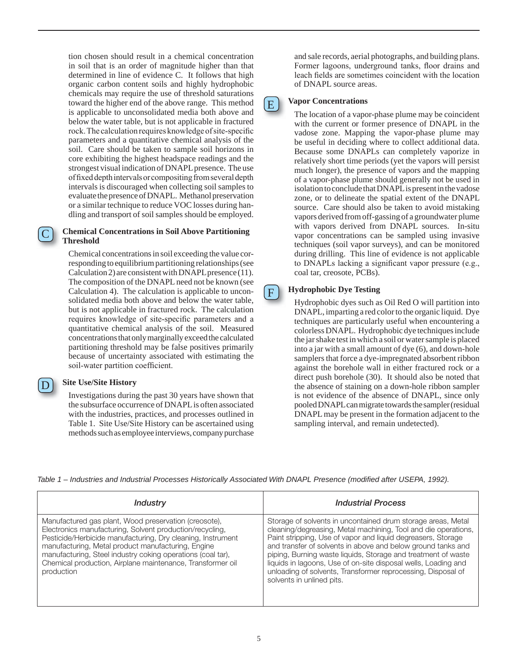tion chosen should result in a chemical concentration in soil that is an order of magnitude higher than that determined in line of evidence C. It follows that high organic carbon content soils and highly hydrophobic chemicals may require the use of threshold saturations toward the higher end of the above range. This method is applicable to unconsolidated media both above and below the water table, but is not applicable in fractured rock. The calculation requires knowledge of site-specific parameters and a quantitative chemical analysis of the soil. Care should be taken to sample soil horizons in core exhibiting the highest headspace readings and the strongest visual indication of DNAPL presence. The use of fixed depth intervals or compositing from several depth intervals is discouraged when collecting soil samples to evaluate the presence of DNAPL. Methanol preservation or a similar technique to reduce VOC losses during handling and transport of soil samples should be employed.

#### **Chemical Concentrations in Soil Above Partitioning Threshold**

Chemical concentrations in soil exceeding the value corresponding to equilibrium partitioning relationships (see Calculation 2) are consistent with DNAPL presence (11). The composition of the DNAPL need not be known (see Calculation 4). The calculation is applicable to unconsolidated media both above and below the water table, but is not applicable in fractured rock. The calculation requires knowledge of site-specific parameters and a quantitative chemical analysis of the soil. Measured concentrations that only marginally exceed the calculated partitioning threshold may be false positives primarily because of uncertainty associated with estimating the soil-water partition coefficient.

#### **Site Use/Site History**

 $\mathcal{C}_{0}^{(n)}$ 

D

Investigations during the past 30 years have shown that the subsurface occurrence of DNAPL is often associated with the industries, practices, and processes outlined in Table 1. Site Use/Site History can be ascertained using methods such as employee interviews, company purchase and sale records, aerial photographs, and building plans. Former lagoons, underground tanks, floor drains and leach fields are sometimes coincident with the location of DNAPL source areas.

#### **Vapor Concentrations**

E

F

The location of a vapor-phase plume may be coincident with the current or former presence of DNAPL in the vadose zone. Mapping the vapor-phase plume may be useful in deciding where to collect additional data. Because some DNAPLs can completely vaporize in relatively short time periods (yet the vapors will persist much longer), the presence of vapors and the mapping of a vapor-phase plume should generally not be used in isolation to conclude that DNAPL is present in the vadose zone, or to delineate the spatial extent of the DNAPL source. Care should also be taken to avoid mistaking vapors derived from off-gassing of a groundwater plume with vapors derived from DNAPL sources. In-situ vapor concentrations can be sampled using invasive techniques (soil vapor surveys), and can be monitored during drilling. This line of evidence is not applicable to DNAPLs lacking a significant vapor pressure (e.g., coal tar, creosote, PCBs).

#### **Hydrophobic Dye Testing**

Hydrophobic dyes such as Oil Red O will partition into DNAPL, imparting a red color to the organic liquid. Dye techniques are particularly useful when encountering a colorless DNAPL. Hydrophobic dye techniques include the jar shake test in which a soil or water sample is placed into a jar with a small amount of dye (6), and down-hole samplers that force a dye-impregnated absorbent ribbon against the borehole wall in either fractured rock or a direct push borehole (30). It should also be noted that the absence of staining on a down-hole ribbon sampler is not evidence of the absence of DNAPL, since only pooled DNAPL can migrate towards the sampler (residual DNAPL may be present in the formation adjacent to the sampling interval, and remain undetected).

*Table 1 – Industries and Industrial Processes Historically Associated With DNAPL Presence (modified after USEPA, 1992).*

| <i><u><b>Industry</b></u></i>                                                                                                                                                                                                                                                                                                                                                     | <b>Industrial Process</b>                                                                                                                                                                                                                                                                                                                                                                                                                                                                      |
|-----------------------------------------------------------------------------------------------------------------------------------------------------------------------------------------------------------------------------------------------------------------------------------------------------------------------------------------------------------------------------------|------------------------------------------------------------------------------------------------------------------------------------------------------------------------------------------------------------------------------------------------------------------------------------------------------------------------------------------------------------------------------------------------------------------------------------------------------------------------------------------------|
| Manufactured gas plant, Wood preservation (creosote),<br>Electronics manufacturing, Solvent production/recycling,<br>Pesticide/Herbicide manufacturing, Dry cleaning, Instrument<br>manufacturing, Metal product manufacturing, Engine<br>manufacturing, Steel industry coking operations (coal tar),<br>Chemical production, Airplane maintenance, Transformer oil<br>production | Storage of solvents in uncontained drum storage areas, Metal<br>cleaning/degreasing, Metal machining, Tool and die operations,<br>Paint stripping, Use of vapor and liquid degreasers, Storage<br>and transfer of solvents in above and below ground tanks and<br>piping, Burning waste liquids, Storage and treatment of waste<br>liquids in lagoons, Use of on-site disposal wells, Loading and<br>unloading of solvents, Transformer reprocessing, Disposal of<br>solvents in unlined pits. |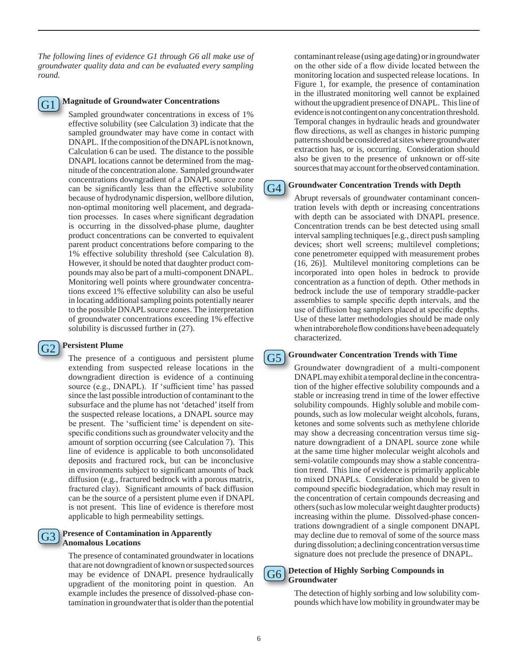*The following lines of evidence G1 through G6 all make use of groundwater quality data and can be evaluated every sampling round.*



#### **Magnitude of Groundwater Concentrations**

Sampled groundwater concentrations in excess of 1% effective solubility (see Calculation 3) indicate that the sampled groundwater may have come in contact with DNAPL. If the composition of the DNAPL is not known, Calculation 6 can be used. The distance to the possible DNAPL locations cannot be determined from the magnitude of the concentration alone. Sampled groundwater concentrations downgradient of a DNAPL source zone can be significantly less than the effective solubility because of hydrodynamic dispersion, wellbore dilution, non-optimal monitoring well placement, and degradation processes. In cases where significant degradation is occurring in the dissolved-phase plume, daughter product concentrations can be converted to equivalent parent product concentrations before comparing to the 1% effective solubility threshold (see Calculation 8). However, it should be noted that daughter product compounds may also be part of a multi-component DNAPL. Monitoring well points where groundwater concentrations exceed 1% effective solubility can also be useful in locating additional sampling points potentially nearer to the possible DNAPL source zones. The interpretation of groundwater concentrations exceeding 1% effective solubility is discussed further in (27).

#### **Persistent Plume**

 $G2$ 

The presence of a contiguous and persistent plume extending from suspected release locations in the downgradient direction is evidence of a continuing source (e.g., DNAPL). If 'sufficient time' has passed since the last possible introduction of contaminant to the subsurface and the plume has not 'detached' itself from the suspected release locations, a DNAPL source may be present. The 'sufficient time' is dependent on sitespecific conditions such as groundwater velocity and the amount of sorption occurring (see Calculation 7). This line of evidence is applicable to both unconsolidated deposits and fractured rock, but can be inconclusive in environments subject to significant amounts of back diffusion (e.g., fractured bedrock with a porous matrix, fractured clay). Significant amounts of back diffusion can be the source of a persistent plume even if DNAPL is not present. This line of evidence is therefore most applicable to high permeability settings.

#### **Presence of Contamination in Apparently Anomalous Locations**  G3

The presence of contaminated groundwater in locations that are not downgradient of known or suspected sources may be evidence of DNAPL presence hydraulically upgradient of the monitoring point in question. An example includes the presence of dissolved-phase contamination in groundwater that is older than the potential contaminant release (using age dating) or in groundwater on the other side of a flow divide located between the monitoring location and suspected release locations. In Figure 1, for example, the presence of contamination in the illustrated monitoring well cannot be explained without the upgradient presence of DNAPL. This line of evidence is not contingent on any concentration threshold. Temporal changes in hydraulic heads and groundwater flow directions, as well as changes in historic pumping patterns should be considered at sites where groundwater extraction has, or is, occurring. Consideration should also be given to the presence of unknown or off-site sources that may account for the observed contamination.

#### **Groundwater Concentration Trends with Depth**  G4

Abrupt reversals of groundwater contaminant concentration levels with depth or increasing concentrations with depth can be associated with DNAPL presence. Concentration trends can be best detected using small interval sampling techniques [e.g., direct push sampling devices; short well screens; multilevel completions; cone penetrometer equipped with measurement probes (16, 26)]. Multilevel monitoring completions can be incorporated into open holes in bedrock to provide concentration as a function of depth. Other methods in bedrock include the use of temporary straddle-packer assemblies to sample specific depth intervals, and the use of diffusion bag samplers placed at specific depths. Use of these latter methodologies should be made only when intraborehole flow conditions have been adequately characterized.

#### **Groundwater Concentration Trends with Time**

Groundwater downgradient of a multi-component DNAPL may exhibit a temporal decline in the concentration of the higher effective solubility compounds and a stable or increasing trend in time of the lower effective solubility compounds. Highly soluble and mobile compounds, such as low molecular weight alcohols, furans, ketones and some solvents such as methylene chloride may show a decreasing concentration versus time signature downgradient of a DNAPL source zone while at the same time higher molecular weight alcohols and semi-volatile compounds may show a stable concentration trend. This line of evidence is primarily applicable to mixed DNAPLs. Consideration should be given to compound specific biodegradation, which may result in the concentration of certain compounds decreasing and others (such as low molecular weight daughter products) increasing within the plume. Dissolved-phase concentrations downgradient of a single component DNAPL may decline due to removal of some of the source mass during dissolution; a declining concentration versus time signature does not preclude the presence of DNAPL.

#### **Detection of Highly Sorbing Compounds in Groundwater**   $G6$

The detection of highly sorbing and low solubility compounds which have low mobility in groundwater may be

G5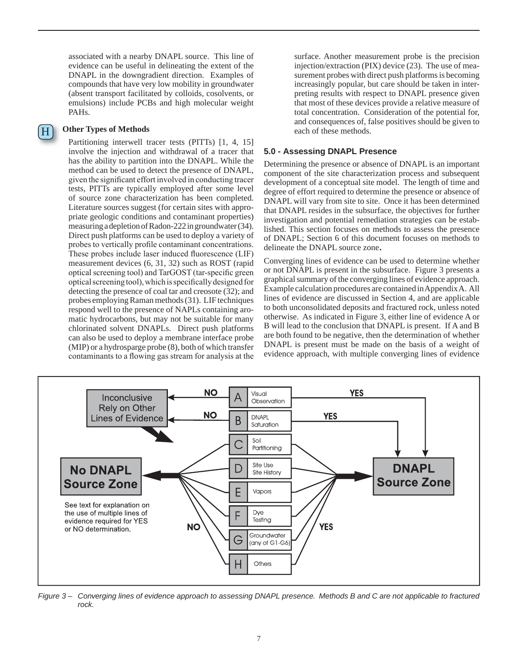associated with a nearby DNAPL source. This line of evidence can be useful in delineating the extent of the DNAPL in the downgradient direction. Examples of compounds that have very low mobility in groundwater (absent transport facilitated by colloids, cosolvents, or emulsions) include PCBs and high molecular weight PAHs.

#### **Other Types of Methods**

H

Partitioning interwell tracer tests (PITTs) [1, 4, 15] involve the injection and withdrawal of a tracer that has the ability to partition into the DNAPL. While the method can be used to detect the presence of DNAPL, given the significant effort involved in conducting tracer tests, PITTs are typically employed after some level of source zone characterization has been completed. Literature sources suggest (for certain sites with appropriate geologic conditions and contaminant properties) measuring a depletion of Radon-222 in groundwater (34). Direct push platforms can be used to deploy a variety of probes to vertically profile contaminant concentrations. These probes include laser induced fluorescence (LIF) measurement devices (6, 31, 32) such as ROST (rapid optical screening tool) and TarGOST (tar-specific green optical screening tool), which is specifically designed for detecting the presence of coal tar and creosote (32); and probes employing Raman methods (31). LIF techniques respond well to the presence of NAPLs containing aromatic hydrocarbons, but may not be suitable for many chlorinated solvent DNAPLs. Direct push platforms can also be used to deploy a membrane interface probe (MIP) or a hydrosparge probe (8), both of which transfer contaminants to a flowing gas stream for analysis at the

surface. Another measurement probe is the precision injection/extraction (PIX) device (23). The use of measurement probes with direct push platforms is becoming increasingly popular, but care should be taken in interpreting results with respect to DNAPL presence given that most of these devices provide a relative measure of total concentration. Consideration of the potential for, and consequences of, false positives should be given to each of these methods.

#### **5.0 - Assessing DNAPL Presence**

Determining the presence or absence of DNAPL is an important component of the site characterization process and subsequent development of a conceptual site model. The length of time and degree of effort required to determine the presence or absence of DNAPL will vary from site to site. Once it has been determined that DNAPL resides in the subsurface, the objectives for further investigation and potential remediation strategies can be established. This section focuses on methods to assess the presence of DNAPL; Section 6 of this document focuses on methods to delineate the DNAPL source zone.

Converging lines of evidence can be used to determine whether or not DNAPL is present in the subsurface. Figure 3 presents a graphical summary of the converging lines of evidence approach. Example calculation procedures are contained in Appendix A. All lines of evidence are discussed in Section 4, and are applicable to both unconsolidated deposits and fractured rock, unless noted otherwise. As indicated in Figure 3, either line of evidence A or B will lead to the conclusion that DNAPL is present. If A and B are both found to be negative, then the determination of whether DNAPL is present must be made on the basis of a weight of evidence approach, with multiple converging lines of evidence



*Figure 3 – Converging lines of evidence approach to assessing DNAPL presence. Methods B and C are not applicable to fractured rock.*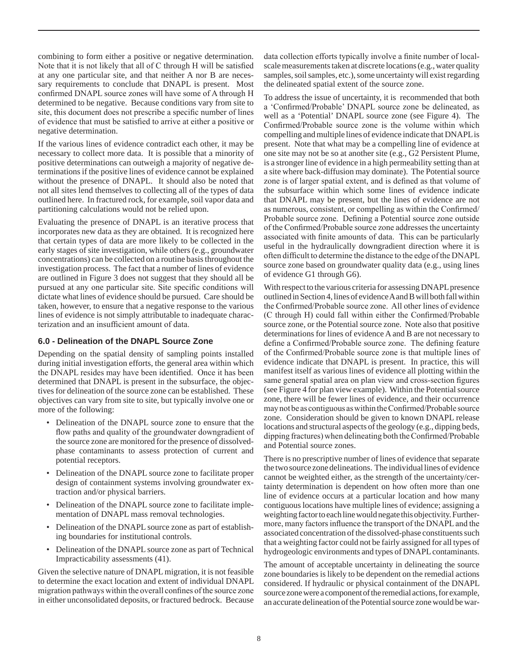combining to form either a positive or negative determination. Note that it is not likely that all of C through H will be satisfied at any one particular site, and that neither A nor B are necessary requirements to conclude that DNAPL is present. Most confirmed DNAPL source zones will have some of A through H determined to be negative. Because conditions vary from site to site, this document does not prescribe a specific number of lines of evidence that must be satisfied to arrive at either a positive or negative determination.

If the various lines of evidence contradict each other, it may be necessary to collect more data. It is possible that a minority of positive determinations can outweigh a majority of negative determinations if the positive lines of evidence cannot be explained without the presence of DNAPL. It should also be noted that not all sites lend themselves to collecting all of the types of data outlined here. In fractured rock, for example, soil vapor data and partitioning calculations would not be relied upon.

Evaluating the presence of DNAPL is an iterative process that incorporates new data as they are obtained. It is recognized here that certain types of data are more likely to be collected in the early stages of site investigation, while others (e.g., groundwater concentrations) can be collected on a routine basis throughout the investigation process. The fact that a number of lines of evidence are outlined in Figure 3 does not suggest that they should all be pursued at any one particular site. Site specific conditions will dictate what lines of evidence should be pursued. Care should be taken, however, to ensure that a negative response to the various lines of evidence is not simply attributable to inadequate characterization and an insufficient amount of data.

#### **6.0 - Delineation of the DNAPL Source Zone**

Depending on the spatial density of sampling points installed during initial investigation efforts, the general area within which the DNAPL resides may have been identified. Once it has been determined that DNAPL is present in the subsurface, the objectives for delineation of the source zone can be established. These objectives can vary from site to site, but typically involve one or more of the following:

- Delineation of the DNAPL source zone to ensure that the flow paths and quality of the groundwater downgradient of the source zone are monitored for the presence of dissolvedphase contaminants to assess protection of current and potential receptors.
- Delineation of the DNAPL source zone to facilitate proper design of containment systems involving groundwater extraction and/or physical barriers.
- Delineation of the DNAPL source zone to facilitate implementation of DNAPL mass removal technologies.
- Delineation of the DNAPL source zone as part of establishing boundaries for institutional controls.
- Delineation of the DNAPL source zone as part of Technical Impracticability assessments (41).

Given the selective nature of DNAPL migration, it is not feasible to determine the exact location and extent of individual DNAPL migration pathways within the overall confines of the source zone in either unconsolidated deposits, or fractured bedrock. Because

data collection efforts typically involve a finite number of localscale measurements taken at discrete locations (e.g., water quality samples, soil samples, etc.), some uncertainty will exist regarding the delineated spatial extent of the source zone.

To address the issue of uncertainty, it is recommended that both a 'Confirmed/Probable' DNAPL source zone be delineated, as well as a 'Potential' DNAPL source zone (see Figure 4). The Confirmed/Probable source zone is the volume within which compelling and multiple lines of evidence indicate that DNAPL is present. Note that what may be a compelling line of evidence at one site may not be so at another site (e.g., G2 Persistent Plume, is a stronger line of evidence in a high permeability setting than at a site where back-diffusion may dominate). The Potential source zone is of larger spatial extent, and is defined as that volume of the subsurface within which some lines of evidence indicate that DNAPL may be present, but the lines of evidence are not as numerous, consistent, or compelling as within the Confirmed/ Probable source zone. Defining a Potential source zone outside of the Confirmed/Probable source zone addresses the uncertainty associated with finite amounts of data. This can be particularly useful in the hydraulically downgradient direction where it is often difficult to determine the distance to the edge of the DNAPL source zone based on groundwater quality data (e.g., using lines of evidence G1 through G6).

With respect to the various criteria for assessing DNAPL presence outlined in Section 4, lines of evidence A and B will both fall within the Confirmed/Probable source zone. All other lines of evidence (C through H) could fall within either the Confirmed/Probable source zone, or the Potential source zone. Note also that positive determinations for lines of evidence A and B are not necessary to define a Confirmed/Probable source zone. The defining feature of the Confirmed/Probable source zone is that multiple lines of evidence indicate that DNAPL is present. In practice, this will manifest itself as various lines of evidence all plotting within the same general spatial area on plan view and cross-section figures (see Figure 4 for plan view example). Within the Potential source zone, there will be fewer lines of evidence, and their occurrence may not be as contiguous as within the Confirmed/Probable source zone. Consideration should be given to known DNAPL release locations and structural aspects of the geology (e.g., dipping beds, dipping fractures) when delineating both the Confirmed/Probable and Potential source zones.

There is no prescriptive number of lines of evidence that separate the two source zone delineations. The individual lines of evidence cannot be weighted either, as the strength of the uncertainty/certainty determination is dependent on how often more than one line of evidence occurs at a particular location and how many contiguous locations have multiple lines of evidence; assigning a weighting factor to each line would negate this objectivity. Furthermore, many factors influence the transport of the DNAPL and the associated concentration of the dissolved-phase constituents such that a weighting factor could not be fairly assigned for all types of hydrogeologic environments and types of DNAPL contaminants.

The amount of acceptable uncertainty in delineating the source zone boundaries is likely to be dependent on the remedial actions considered. If hydraulic or physical containment of the DNAPL source zone were a component of the remedial actions, for example, an accurate delineation of the Potential source zone would be war-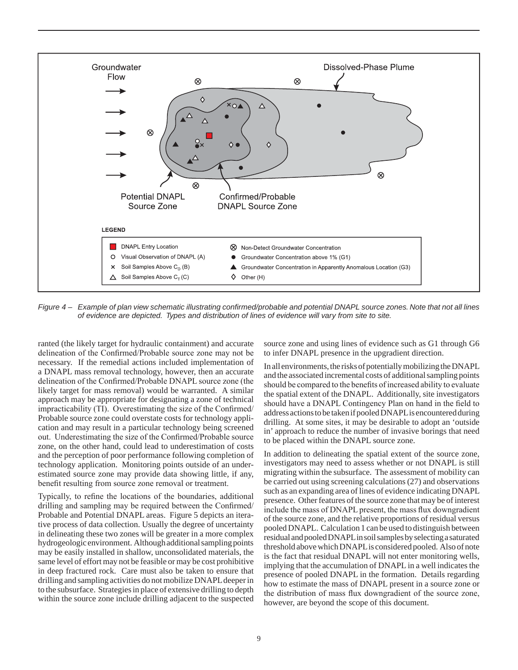

*Figure 4 – Example of plan view schematic illustrating confirmed/probable and potential DNAPL source zones. Note that not all lines of evidence are depicted. Types and distribution of lines of evidence will vary from site to site.*

ranted (the likely target for hydraulic containment) and accurate delineation of the Confirmed/Probable source zone may not be necessary. If the remedial actions included implementation of a DNAPL mass removal technology, however, then an accurate delineation of the Confirmed/Probable DNAPL source zone (the likely target for mass removal) would be warranted. A similar approach may be appropriate for designating a zone of technical impracticability (TI). Overestimating the size of the Confirmed/ Probable source zone could overstate costs for technology application and may result in a particular technology being screened out. Underestimating the size of the Confirmed/Probable source zone, on the other hand, could lead to underestimation of costs and the perception of poor performance following completion of technology application. Monitoring points outside of an underestimated source zone may provide data showing little, if any, benefit resulting from source zone removal or treatment.

Typically, to refine the locations of the boundaries, additional drilling and sampling may be required between the Confirmed/ Probable and Potential DNAPL areas. Figure 5 depicts an iterative process of data collection. Usually the degree of uncertainty in delineating these two zones will be greater in a more complex hydrogeologic environment. Although additional sampling points may be easily installed in shallow, unconsolidated materials, the same level of effort may not be feasible or may be cost prohibitive in deep fractured rock. Care must also be taken to ensure that drilling and sampling activities do not mobilize DNAPL deeper in to the subsurface. Strategies in place of extensive drilling to depth within the source zone include drilling adjacent to the suspected

source zone and using lines of evidence such as G1 through G6 to infer DNAPL presence in the upgradient direction.

In all environments, the risks of potentially mobilizing the DNAPL and the associated incremental costs of additional sampling points should be compared to the benefits of increased ability to evaluate the spatial extent of the DNAPL. Additionally, site investigators should have a DNAPL Contingency Plan on hand in the field to address actions to be taken if pooled DNAPL is encountered during drilling. At some sites, it may be desirable to adopt an 'outside in' approach to reduce the number of invasive borings that need to be placed within the DNAPL source zone.

In addition to delineating the spatial extent of the source zone, investigators may need to assess whether or not DNAPL is still migrating within the subsurface. The assessment of mobility can be carried out using screening calculations (27) and observations such as an expanding area of lines of evidence indicating DNAPL presence. Other features of the source zone that may be of interest include the mass of DNAPL present, the mass flux downgradient of the source zone, and the relative proportions of residual versus pooled DNAPL. Calculation 1 can be used to distinguish between residual and pooled DNAPL in soil samples by selecting a saturated threshold above which DNAPL is considered pooled. Also of note is the fact that residual DNAPL will not enter monitoring wells, implying that the accumulation of DNAPL in a well indicates the presence of pooled DNAPL in the formation. Details regarding how to estimate the mass of DNAPL present in a source zone or the distribution of mass flux downgradient of the source zone, however, are beyond the scope of this document.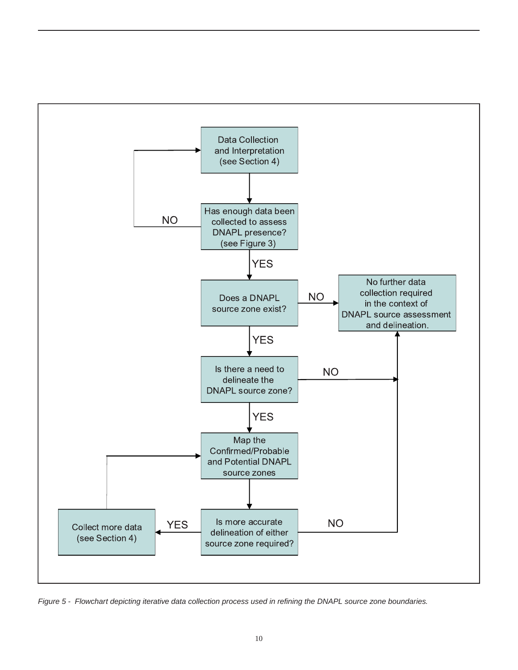

*Figure 5 - Flowchart depicting iterative data collection process used in refining the DNAPL source zone boundaries.*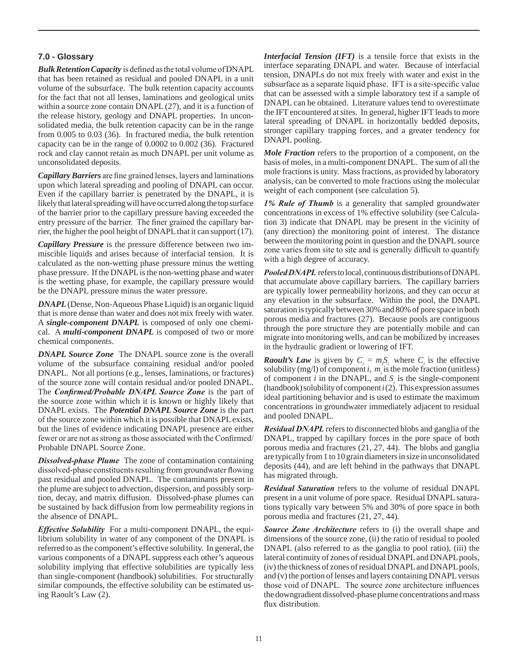## **7.0 - Glossary**

*Bulk Retention Capacity* is defined as the total volume of DNAPL that has been retained as residual and pooled DNAPL in a unit volume of the subsurface. The bulk retention capacity accounts for the fact that not all lenses, laminations and geological units within a source zone contain DNAPL (27), and it is a function of the release history, geology and DNAPL properties. In unconsolidated media, the bulk retention capacity can be in the range from 0.005 to 0.03 (36). In fractured media, the bulk retention capacity can be in the range of 0.0002 to 0.002 (36). Fractured rock and clay cannot retain as much DNAPL per unit volume as unconsolidated deposits.

*Capillary Barriers* are fine grained lenses, layers and laminations upon which lateral spreading and pooling of DNAPL can occur. Even if the capillary barrier is penetrated by the DNAPL, it is likely that lateral spreading will have occurred along the top surface of the barrier prior to the capillary pressure having exceeded the entry pressure of the barrier. The finer grained the capillary barrier, the higher the pool height of DNAPL that it can support (17).

*Capillary Pressure* is the pressure difference between two immiscible liquids and arises because of interfacial tension. It is calculated as the non-wetting phase pressure minus the wetting phase pressure. If the DNAPL is the non-wetting phase and water is the wetting phase, for example, the capillary pressure would be the DNAPL pressure minus the water pressure.

*DNAPL* (Dense, Non-Aqueous Phase Liquid) is an organic liquid that is more dense than water and does not mix freely with water. A *single-component DNAPL* is composed of only one chemical. A *multi-component DNAPL* is composed of two or more chemical components.

*DNAPL Source Zone* The DNAPL source zone is the overall volume of the subsurface containing residual and/or pooled DNAPL. Not all portions (e.g., lenses, laminations, or fractures) of the source zone will contain residual and/or pooled DNAPL. The *Confirmed/Probable DNAPL Source Zone* is the part of the source zone within which it is known or highly likely that DNAPL exists. The *Potential DNAPL Source Zone* is the part of the source zone within which it is possible that DNAPL exists, but the lines of evidence indicating DNAPL presence are either fewer or are not as strong as those associated with the Confirmed/ Probable DNAPL Source Zone.

*Dissolved-phase Plume* The zone of contamination containing dissolved-phase constituents resulting from groundwater flowing past residual and pooled DNAPL. The contaminants present in the plume are subject to advection, dispersion, and possibly sorption, decay, and matrix diffusion. Dissolved-phase plumes can be sustained by back diffusion from low permeability regions in the absence of DNAPL.

*Effective Solubility* For a multi-component DNAPL, the equilibrium solubility in water of any component of the DNAPL is referred to as the component's effective solubility. In general, the various components of a DNAPL suppress each other's aqueous solubility implying that effective solubilities are typically less than single-component (handbook) solubilities. For structurally similar compounds, the effective solubility can be estimated using Raoult's Law (2).

*Interfacial Tension (IFT)* is a tensile force that exists in the interface separating DNAPL and water. Because of interfacial tension, DNAPLs do not mix freely with water and exist in the subsurface as a separate liquid phase. IFT is a site-specific value that can be assessed with a simple laboratory test if a sample of DNAPL can be obtained. Literature values tend to overestimate the IFT encountered at sites. In general, higher IFT leads to more lateral spreading of DNAPL in horizontally bedded deposits, stronger capillary trapping forces, and a greater tendency for DNAPL pooling.

*Mole Fraction* refers to the proportion of a component, on the basis of moles, in a multi-component DNAPL. The sum of all the mole fractions is unity. Mass fractions, as provided by laboratory analysis, can be converted to mole fractions using the molecular weight of each component (see calculation 5).

*1% Rule of Thumb* is a generality that sampled groundwater concentrations in excess of 1% effective solubility (see Calculation 3) indicate that DNAPL may be present in the vicinity of (any direction) the monitoring point of interest. The distance between the monitoring point in question and the DNAPL source zone varies from site to site and is generally difficult to quantify with a high degree of accuracy.

*Pooled DNAPL* refers to local, continuous distributions of DNAPL that accumulate above capillary barriers. The capillary barriers are typically lower permeability horizons, and they can occur at any elevation in the subsurface. Within the pool, the DNAPL saturation is typically between 30% and 80% of pore space in both porous media and fractures (27). Because pools are contiguous through the pore structure they are potentially mobile and can migrate into monitoring wells, and can be mobilized by increases in the hydraulic gradient or lowering of IFT.

*Raoult's Law* is given by  $C_i = m_i S_i$ , where  $C_i$  is the effective solubility (mg/l) of component *i*,  $m<sub>i</sub>$  is the mole fraction (unitless) of component  $i$  in the DNAPL, and  $S_i$  is the single-component (handbook) solubility of component *i* (2). This expression assumes ideal partitioning behavior and is used to estimate the maximum concentrations in groundwater immediately adjacent to residual and pooled DNAPL.

*Residual DNAPL* refers to disconnected blobs and ganglia of the DNAPL, trapped by capillary forces in the pore space of both porous media and fractures (21, 27, 44). The blobs and ganglia are typically from 1 to 10 grain diameters in size in unconsolidated deposits (44), and are left behind in the pathways that DNAPL has migrated through.

*Residual Saturation* refers to the volume of residual DNAPL present in a unit volume of pore space. Residual DNAPL saturations typically vary between 5% and 30% of pore space in both porous media and fractures (21, 27, 44).

**Source Zone Architecture** refers to (i) the overall shape and dimensions of the source zone, (ii) the ratio of residual to pooled DNAPL (also referred to as the ganglia to pool ratio), (iii) the lateral continuity of zones of residual DNAPL and DNAPL pools, (iv) the thickness of zones of residual DNAPL and DNAPL pools, and (v) the portion of lenses and layers containing DNAPL versus those void of DNAPL. The source zone architecture influences the downgradient dissolved-phase plume concentrations and mass flux distribution.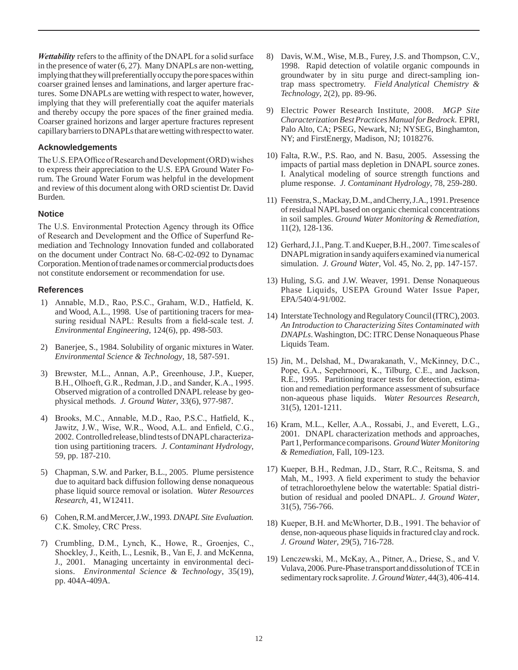*Wettability* refers to the affinity of the DNAPL for a solid surface in the presence of water (6, 27). Many DNAPLs are non-wetting, implying that they will preferentially occupy the pore spaces within coarser grained lenses and laminations, and larger aperture fractures. Some DNAPLs are wetting with respect to water, however, implying that they will preferentially coat the aquifer materials and thereby occupy the pore spaces of the finer grained media. Coarser grained horizons and larger aperture fractures represent capillary barriers to DNAPLs that are wetting with respect to water.

#### **Acknowledgements**

The U.S. EPA Office of Research and Development (ORD) wishes to express their appreciation to the U.S. EPA Ground Water Forum. The Ground Water Forum was helpful in the development and review of this document along with ORD scientist Dr. David Burden.

#### **Notice**

The U.S. Environmental Protection Agency through its Office of Research and Development and the Office of Superfund Remediation and Technology Innovation funded and collaborated on the document under Contract No. 68-C-02-092 to Dynamac Corporation. Mention of trade names or commercial products does not constitute endorsement or recommendation for use.

#### **References**

- 1) Annable, M.D., Rao, P.S.C., Graham, W.D., Hatfield, K. and Wood, A.L., 1998. Use of partitioning tracers for measuring residual NAPL: Results from a field-scale test. *J. Environmental Engineering,* 124(6), pp. 498-503.
- 2) Banerjee, S., 1984. Solubility of organic mixtures in Water. *Environmental Science & Technology*, 18, 587-591.
- 3) Brewster, M.L., Annan, A.P., Greenhouse, J.P., Kueper, B.H., Olhoeft, G.R., Redman, J.D., and Sander, K.A., 1995. Observed migration of a controlled DNAPL release by geophysical methods. *J. Ground Water*, 33(6), 977-987.
- 4) Brooks, M.C., Annable, M.D., Rao, P.S.C., Hatfield, K., Jawitz, J.W., Wise, W.R., Wood, A.L. and Enfield, C.G., 2002. Controlled release, blind tests of DNAPL characterization using partitioning tracers. *J. Contaminant Hydrology*, 59, pp. 187-210.
- 5) Chapman, S.W. and Parker, B.L., 2005. Plume persistence due to aquitard back diffusion following dense nonaqueous phase liquid source removal or isolation. *Water Resources Research,* 41, W12411.
- 6) Cohen, R.M. and Mercer, J.W., 1993. *DNAPL Site Evaluation.* C.K. Smoley, CRC Press.
- 7) Crumbling, D.M., Lynch, K., Howe, R., Groenjes, C., Shockley, J., Keith, L., Lesnik, B., Van E, J. and McKenna, J., 2001. Managing uncertainty in environmental decisions. *Environmental Science & Technology*, 35(19), pp. 404A-409A.
- 8) Davis, W.M., Wise, M.B., Furey, J.S. and Thompson, C.V., 1998. Rapid detection of volatile organic compounds in groundwater by in situ purge and direct-sampling iontrap mass spectrometry. *Field Analytical Chemistry & Technology*, 2(2), pp. 89-96.
- 9) Electric Power Research Institute, 2008. *MGP Site Characterization Best Practices Manual for Bedrock*. EPRI, Palo Alto, CA; PSEG, Newark, NJ; NYSEG, Binghamton, NY; and FirstEnergy, Madison, NJ; 1018276.
- 10) Falta, R.W., P.S. Rao, and N. Basu, 2005. Assessing the impacts of partial mass depletion in DNAPL source zones. I. Analytical modeling of source strength functions and plume response. *J. Contaminant Hydrology*, 78, 259-280.
- 11) Feenstra, S., Mackay, D.M., and Cherry, J.A., 1991. Presence of residual NAPL based on organic chemical concentrations in soil samples. *Ground Water Monitoring & Remediation*, 11(2), 128-136.
- 12) Gerhard, J.I., Pang. T. and Kueper, B.H., 2007. Time scales of DNAPL migration in sandy aquifers examined via numerical simulation. *J. Ground Water*, Vol. 45, No. 2, pp. 147-157.
- 13) Huling, S.G. and J.W. Weaver, 1991. Dense Nonaqueous Phase Liquids, USEPA Ground Water Issue Paper, EPA/540/4-91/002.
- 14) Interstate Technology and Regulatory Council (ITRC), 2003. *An Introduction to Characterizing Sites Contaminated with DNAPLs*. Washington, DC: ITRC Dense Nonaqueous Phase Liquids Team.
- 15) Jin, M., Delshad, M., Dwarakanath, V., McKinney, D.C., Pope, G.A., Sepehrnoori, K., Tilburg, C.E., and Jackson, R.E., 1995. Partitioning tracer tests for detection, estimation and remediation performance assessment of subsurface non-aqueous phase liquids. *Water Resources Research*, 31(5), 1201-1211.
- 16) Kram, M.L., Keller, A.A., Rossabi, J., and Everett, L.G., 2001. DNAPL characterization methods and approaches, Part 1, Performance comparisons. *Ground Water Monitoring & Remediation*, Fall, 109-123.
- 17) Kueper, B.H., Redman, J.D., Starr, R.C., Reitsma, S. and Mah, M., 1993. A field experiment to study the behavior of tetrachloroethylene below the watertable: Spatial distribution of residual and pooled DNAPL. *J. Ground Water*, 31(5), 756-766.
- 18) Kueper, B.H. and McWhorter, D.B., 1991. The behavior of dense, non-aqueous phase liquids in fractured clay and rock. *J. Ground Water*, 29(5), 716-728.
- 19) Lenczewski, M., McKay, A., Pitner, A., Driese, S., and V. Vulava, 2006. Pure-Phase transport and dissolution of TCE in sedimentary rock saprolite. *J. Ground Water*, 44(3), 406-414.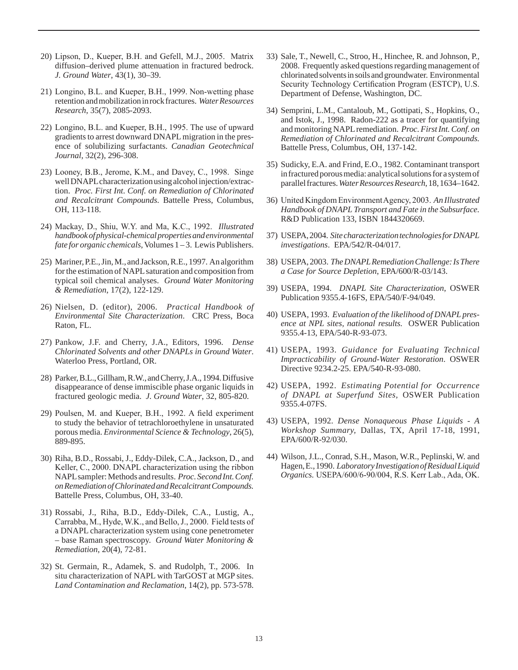- 20) Lipson, D., Kueper, B.H. and Gefell, M.J., 2005. Matrix diffusion–derived plume attenuation in fractured bedrock. *J. Ground Water*, 43(1), 30–39.
- 21) Longino, B.L. and Kueper, B.H., 1999. Non-wetting phase retention and mobilization in rock fractures. *Water Resources Research*, 35(7), 2085-2093.
- 22) Longino, B.L. and Kueper, B.H., 1995. The use of upward gradients to arrest downward DNAPL migration in the presence of solubilizing surfactants. *Canadian Geotechnical Journal*, 32(2), 296-308.
- 23) Looney, B.B., Jerome, K.M., and Davey, C., 1998. Singe well DNAPL characterization using alcohol injection/extraction. *Proc. First Int. Conf. on Remediation of Chlorinated and Recalcitrant Compounds.* Battelle Press, Columbus, OH, 113-118.
- 24) Mackay, D., Shiu, W.Y. and Ma, K.C., 1992. *Illustrated handbook of physical-chemical properties and environmental fate for organic chemicals*, Volumes 1 – 3. Lewis Publishers.
- 25) Mariner, P.E., Jin, M., and Jackson, R.E., 1997. An algorithm for the estimation of NAPL saturation and composition from typical soil chemical analyses. *Ground Water Monitoring & Remediation*, 17(2), 122-129.
- 26) Nielsen, D. (editor), 2006. *Practical Handbook of Environmental Site Characterization*. CRC Press, Boca Raton, FL.
- 27) Pankow, J.F. and Cherry, J.A., Editors, 1996. *Dense Chlorinated Solvents and other DNAPLs in Ground Water*. Waterloo Press, Portland, OR.
- 28) Parker, B.L., Gillham, R.W., and Cherry, J.A., 1994. Diffusive disappearance of dense immiscible phase organic liquids in fractured geologic media. *J. Ground Water*, 32, 805-820.
- 29) Poulsen, M. and Kueper, B.H., 1992. A field experiment to study the behavior of tetrachloroethylene in unsaturated porous media. *Environmental Science & Technology*, 26(5), 889-895.
- 30) Riha, B.D., Rossabi, J., Eddy-Dilek, C.A., Jackson, D., and Keller, C., 2000. DNAPL characterization using the ribbon NAPL sampler: Methods and results. *Proc. Second Int. Conf. on Remediation of Chlorinated and Recalcitrant Compounds.*  Battelle Press, Columbus, OH, 33-40.
- 31) Rossabi, J., Riha, B.D., Eddy-Dilek, C.A., Lustig, A., Carrabba, M., Hyde, W.K., and Bello, J., 2000. Field tests of a DNAPL characterization system using cone penetrometer – base Raman spectroscopy. *Ground Water Monitoring & Remediation*, 20(4), 72-81.
- 32) St. Germain, R., Adamek, S. and Rudolph, T., 2006. In situ characterization of NAPL with TarGOST at MGP sites. *Land Contamination and Reclamation*, 14(2), pp. 573-578.
- 33) Sale, T., Newell, C., Stroo, H., Hinchee, R. and Johnson, P., 2008. Frequently asked questions regarding management of chlorinated solvents in soils and groundwater. Environmental Security Technology Certification Program (ESTCP), U.S. Department of Defense, Washington, DC.
- 34) Semprini, L.M., Cantaloub, M., Gottipati, S., Hopkins, O., and Istok, J., 1998. Radon-222 as a tracer for quantifying and monitoring NAPL remediation. *Proc. First Int. Conf. on Remediation of Chlorinated and Recalcitrant Compounds.*  Battelle Press, Columbus, OH, 137-142.
- 35) Sudicky, E.A. and Frind, E.O., 1982. Contaminant transport in fractured porous media: analytical solutions for a system of parallel fractures. *Water Resources Research*, 18, 1634–1642.
- 36) United Kingdom Environment Agency, 2003. *An Illustrated Handbook of DNAPL Transport and Fate in the Subsurface.*  R&D Publication 133, ISBN 1844320669.
- 37) USEPA, 2004. *Site characterization technologies for DNAPL investigations*. EPA/542/R-04/017.
- 38) USEPA, 2003. *The DNAPL Remediation Challenge: Is There a Case for Source Depletion*, EPA/600/R-03/143.
- 39) USEPA, 1994. *DNAPL Site Characterization*, OSWER Publication 9355.4-16FS, EPA/540/F-94/049.
- 40) USEPA, 1993. *Evaluation of the likelihood of DNAPL presence at NPL sites, national results.* OSWER Publication 9355.4-13, EPA/540-R-93-073.
- 41) USEPA, 1993. *Guidance for Evaluating Technical Impracticability of Ground-Water Restoration*. OSWER Directive 9234.2-25. EPA/540-R-93-080.
- 42) USEPA, 1992. *Estimating Potential for Occurrence of DNAPL at Superfund Sites,* OSWER Publication 9355.4-07FS.
- 43) USEPA, 1992. *Dense Nonaqueous Phase Liquids A Workshop Summary,* Dallas, TX, April 17-18, 1991, EPA/600/R-92/030.
- 44) Wilson, J.L., Conrad, S.H., Mason, W.R., Peplinski, W. and Hagen, E., 1990. *Laboratory Investigation of Residual Liquid Organics.* USEPA/600/6-90/004, R.S. Kerr Lab., Ada, OK.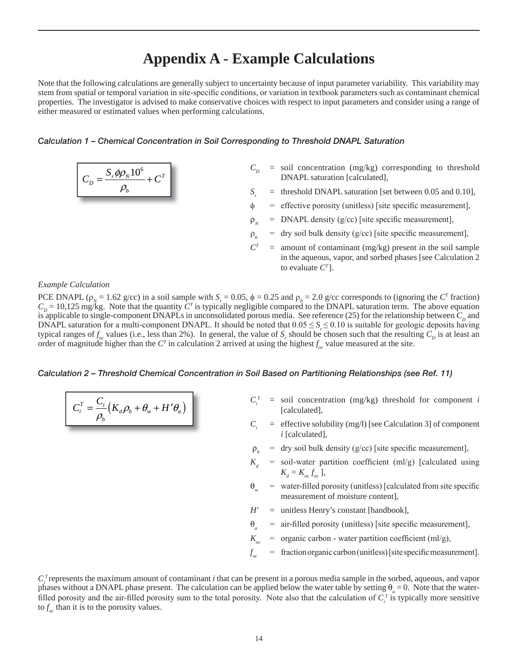## **Appendix A - Example Calculations**

Note that the following calculations are generally subject to uncertainty because of input parameter variability. This variability may stem from spatial or temporal variation in site-specific conditions, or variation in textbook parameters such as contaminant chemical properties. The investigator is advised to make conservative choices with respect to input parameters and consider using a range of either measured or estimated values when performing calculations.

#### *Calculation 1 – Chemical Concentration in Soil Corresponding to Threshold DNAPL Saturation*

$$
C_D = \frac{S_r \phi \rho_N 10^6}{\rho_b} + C^T
$$

- = soil concentration (mg/kg) corresponding to threshold DNAPL saturation [calculated],
- $S<sub>r</sub>$  = threshold DNAPL saturation [set between 0.05 and 0.10],
- = effective porosity (unitless) [site specific measurement],
- $\rho<sub>N</sub>$  = DNAPL density (g/cc) [site specific measurement],
- $\rho_{\iota}$  $=$  dry soil bulk density (g/cc) [site specific measurement],
- $C^{T}$ = amount of contaminant (mg/kg) present in the soil sample in the aqueous, vapor, and sorbed phases [see Calculation 2 to evaluate *CT* ].

#### *Example Calculation*

PCE DNAPL ( $\rho_N = 1.62$  g/cc) in a soil sample with  $S_r = 0.05$ ,  $\phi = 0.25$  and  $\rho_b = 2.0$  g/cc corresponds to (ignoring the *C<sup>T</sup>* fraction)  $C_D = 10,125$  mg/kg. Note that the quantity  $C<sup>T</sup>$  is typically negligible compared to the DNAPL saturation term. The above equation is applicable to single-component DNAPLs in unconsolidated porous media. See reference  $(25)$  for the relationship between  $C_p$  and DNAPL saturation for a multi-component DNAPL. It should be noted that  $0.05 \le S_r \le 0.10$  is suitable for geologic deposits having typical ranges of  $f_{oc}$  values (i.e., less than 2%). In general, the value of  $S_r$  should be chosen such that the resulting  $C_p$  is at least an order of magnitude higher than the  $C<sup>T</sup>$  in calculation 2 arrived at using the highest  $f_{oc}$  value measured at the site.

#### *Calculation 2 – Threshold Chemical Concentration in Soil Based on Partitioning Relationships (see Ref. 11)*

$$
C_i^T = \frac{C_i}{\rho_b} \Big( K_d \rho_b + \theta_w + H' \theta_a \Big)
$$

- $C_i^T$  = soil concentration (mg/kg) threshold for component *i* [calculated],
- $C_i$  = effective solubility (mg/l) [see Calculation 3] of component *i* [calculated],
- $\rho_{\iota}$  $=$  dry soil bulk density (g/cc) [site specific measurement],
- $K_{\mu}$ = soil-water partition coefficient (ml/g) [calculated using  $K_d = K_{oc} f_{oc}$  ],
- $\theta_{w}$  = water-filled porosity (unitless) [calculated from site specific measurement of moisture content],
- *H'* = unitless Henry's constant [handbook],
- $\theta$ <sub>a</sub> = air-filled porosity (unitless) [site specific measurement],
- $K_{cc}$  = organic carbon water partition coefficient (ml/g),
- $f_{oc}$ = fraction organic carbon (unitless) [site specific measurement].

 $C_i^T$  represents the maximum amount of contaminant *i* that can be present in a porous media sample in the sorbed, aqueous, and vapor phases without a DNAPL phase present. The calculation can be applied below the water table by setting  $\theta_a = 0$ . Note that the waterfilled porosity and the air-filled porosity sum to the total porosity. Note also that the calculation of  $C_i^T$  is typically more sensitive to  $f_{\alpha}$  than it is to the porosity values.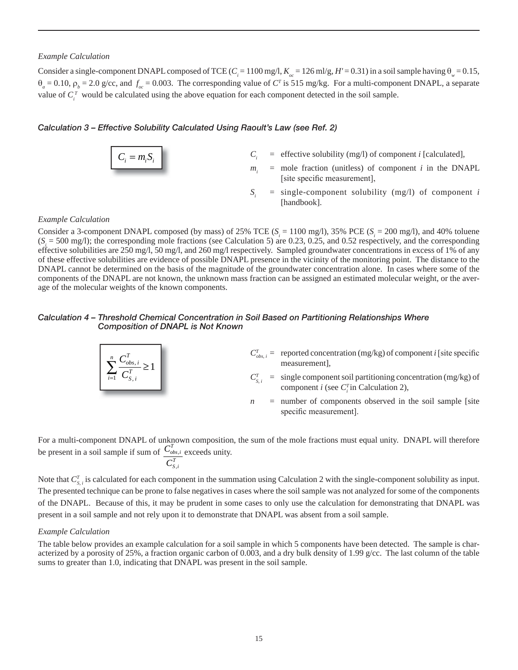Consider a single-component DNAPL composed of TCE ( $C_i = 1100$  mg/l,  $K_{oc} = 126$  ml/g,  $H' = 0.31$ ) in a soil sample having  $\theta_w = 0.15$ ,  $\theta_a = 0.10$ ,  $\rho_b = 2.0$  g/cc, and  $f_{oc} = 0.003$ . The corresponding value of *C<sup>T</sup>* is 515 mg/kg. For a multi-component DNAPL, a separate value of  $C_i^T$  would be calculated using the above equation for each component detected in the soil sample.

## *Calculation 3 – Effective Solubility Calculated Using Raoult's Law (see Ref. 2)*

$$
C_i = m_i S_i
$$

- $C_i$  = effective solubility (mg/l) of component *i* [calculated],
- $m_i$  = mole fraction (unitless) of component *i* in the DNAPL [site specific measurement],
- *Si* = single-component solubility (mg/l) of component *i*  [handbook].

#### *Example Calculation*

Consider a 3-component DNAPL composed (by mass) of 25% TCE  $(S_i = 1100 \text{ mg/l})$ , 35% PCE  $(S_i = 200 \text{ mg/l})$ , and 40% toluene  $(S<sub>i</sub> = 500 \text{ mg/l})$ ; the corresponding mole fractions (see Calculation 5) are 0.23, 0.25, and 0.52 respectively, and the corresponding effective solubilities are 250 mg/l, 50 mg/l, and 260 mg/l respectively. Sampled groundwater concentrations in excess of 1% of any of these effective solubilities are evidence of possible DNAPL presence in the vicinity of the monitoring point. The distance to the DNAPL cannot be determined on the basis of the magnitude of the groundwater concentration alone. In cases where some of the components of the DNAPL are not known, the unknown mass fraction can be assigned an estimated molecular weight, or the average of the molecular weights of the known components.

#### *Calculation 4 – Threshold Chemical Concentration in Soil Based on Partitioning Relationships Where Composition of DNAPL is Not Known*

$$
\boxed{\sum_{i=1}^{n} \frac{C_{obs,i}^{T}}{C_{S,i}^{T}} \geq 1}
$$

,

- $C_{obs, i}^{T}$  = reported concentration (mg/kg) of component *i* [site specific measurement],
- $C_{S,i}^T$  = single component soil partitioning concentration (mg/kg) of component *i* (see  $C_i^T$  in Calculation 2),
- $n =$  number of components observed in the soil sample [site specific measurement].

For a multi-component DNAPL of unknown composition, the sum of the mole fractions must equal unity. DNAPL will therefore be present in a soil sample if sum of  $\frac{C_{obs}}{s}$ *T obs i T S i C C* exceeds unity.

Note that  $C_{s,i}^r$  is calculated for each component in the summation using Calculation 2 with the single-component solubility as input. The presented technique can be prone to false negatives in cases where the soil sample was not analyzed for some of the components of the DNAPL. Because of this, it may be prudent in some cases to only use the calculation for demonstrating that DNAPL was present in a soil sample and not rely upon it to demonstrate that DNAPL was absent from a soil sample.

#### *Example Calculation*

The table below provides an example calculation for a soil sample in which 5 components have been detected. The sample is characterized by a porosity of 25%, a fraction organic carbon of 0.003, and a dry bulk density of 1.99 g/cc. The last column of the table sums to greater than 1.0, indicating that DNAPL was present in the soil sample.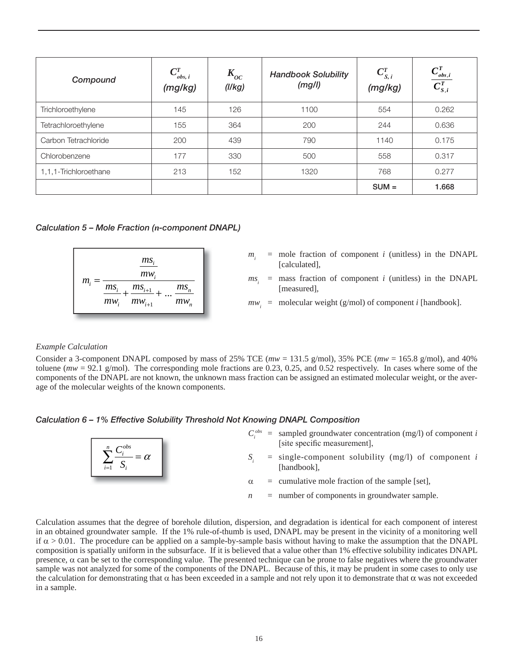| Compound              | $C^{T}$<br>$'$ obs, i<br>(mg/kg) | $K_{\scriptstyle{OC}}$<br>(1/kg) | <b>Handbook Solubility</b><br>(mg/l) | $C_{S,i}^T$<br>(mg/kg) | $\frac{C^T_{obs,i}}{C^T_{S,i}}$ |
|-----------------------|----------------------------------|----------------------------------|--------------------------------------|------------------------|---------------------------------|
| Trichloroethylene     | 145                              | 126                              | 1100                                 | 554                    | 0.262                           |
| Tetrachloroethylene   | 155                              | 364                              | 200                                  | 244                    | 0.636                           |
| Carbon Tetrachloride  | 200                              | 439                              | 790                                  | 1140                   | 0.175                           |
| Chlorobenzene         | 177                              | 330                              | 500                                  | 558                    | 0.317                           |
| 1,1,1-Trichloroethane | 213                              | 152                              | 1320                                 | 768                    | 0.277                           |
|                       |                                  |                                  |                                      | $SUM =$                | 1.668                           |

*Calculation 5 – Mole Fraction (n-component DNAPL)*



- $m_i$  = mole fraction of component *i* (unitless) in the DNAPL [calculated],
- $ms_i$  = mass fraction of component *i* (unitless) in the DNAPL [measured],
- *mwi* = molecular weight (g/mol) of component *i* [handbook].

1

 $i=1$   $\rightarrow$   $i$ 

 $\sum_{i}^{n} C_i^{obs}$ 

 $\frac{1}{S_i} = \alpha$  $\sum_{i=1}^{\infty} \frac{C_i}{S_i} =$ 

*C*

Consider a 3-component DNAPL composed by mass of 25% TCE (*mw* = 131.5 g/mol), 35% PCE (*mw* = 165.8 g/mol), and 40% toluene (*mw* = 92.1 g/mol). The corresponding mole fractions are 0.23, 0.25, and 0.52 respectively. In cases where some of the components of the DNAPL are not known, the unknown mass fraction can be assigned an estimated molecular weight, or the average of the molecular weights of the known components.

#### *Calculation 6 – 1% Effective Solubility Threshold Not Knowing DNAPL Composition*

- $C_i^{obs}$  = sampled groundwater concentration (mg/l) of component *i* [site specific measurement],
- *Si* = single-component solubility (mg/l) of component *i*  [handbook].
- $\alpha$  = cumulative mole fraction of the sample [set],
- *n* = number of components in groundwater sample.

Calculation assumes that the degree of borehole dilution, dispersion, and degradation is identical for each component of interest in an obtained groundwater sample. If the 1% rule-of-thumb is used, DNAPL may be present in the vicinity of a monitoring well if  $\alpha > 0.01$ . The procedure can be applied on a sample-by-sample basis without having to make the assumption that the DNAPL composition is spatially uniform in the subsurface. If it is believed that a value other than 1% effective solubility indicates DNAPL presence,  $\alpha$  can be set to the corresponding value. The presented technique can be prone to false negatives where the groundwater sample was not analyzed for some of the components of the DNAPL. Because of this, it may be prudent in some cases to only use the calculation for demonstrating that  $\alpha$  has been exceeded in a sample and not rely upon it to demonstrate that  $\alpha$  was not exceeded in a sample.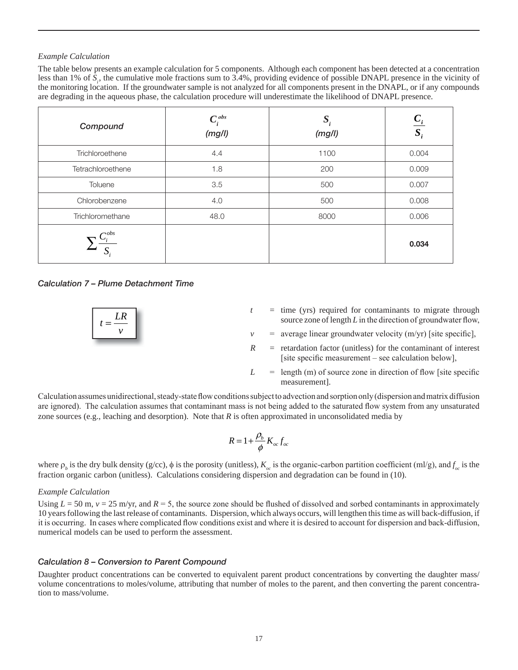The table below presents an example calculation for 5 components. Although each component has been detected at a concentration less than 1% of *Si* , the cumulative mole fractions sum to 3.4%, providing evidence of possible DNAPL presence in the vicinity of the monitoring location. If the groundwater sample is not analyzed for all components present in the DNAPL, or if any compounds are degrading in the aqueous phase, the calculation procedure will underestimate the likelihood of DNAPL presence.

| Compound          | $C_i^{obs}$<br>(mg/l) | $S_i$<br>(mg/l) | $S_i$ |
|-------------------|-----------------------|-----------------|-------|
| Trichloroethene   | 4.4                   | 1100            | 0.004 |
| Tetrachloroethene | 1.8                   | 200             | 0.009 |
| Toluene           | 3.5                   | 500             | 0.007 |
| Chlorobenzene     | 4.0                   | 500             | 0.008 |
| Trichloromethane  | 48.0                  | 8000            | 0.006 |
| $\tau$ obs        |                       |                 | 0.034 |

#### *Calculation 7 – Plume Detachment Time*



- *t* = time (yrs) required for contaminants to migrate through source zone of length *L* in the direction of groundwater flow,
- $\nu$  = average linear groundwater velocity (m/yr) [site specific],
- $R =$  retardation factor (unitless) for the contaminant of interest [site specific measurement – see calculation below],
- $L =$  length (m) of source zone in direction of flow [site specific measurement].

Calculation assumes unidirectional, steady-state flow conditions subject to advection and sorption only (dispersion and matrix diffusion are ignored). The calculation assumes that contaminant mass is not being added to the saturated flow system from any unsaturated zone sources (e.g., leaching and desorption). Note that *R* is often approximated in unconsolidated media by

$$
R = 1 + \frac{\rho_b}{\phi} K_{oc} f_{oc}
$$

where  $\rho_b$  is the dry bulk density (g/cc),  $\phi$  is the porosity (unitless),  $K_{oc}$  is the organic-carbon partition coefficient (ml/g), and  $f_{oc}$  is the fraction organic carbon (unitless). Calculations considering dispersion and degradation can be found in (10).

#### *Example Calculation*

Using  $L = 50$  m,  $v = 25$  m/yr, and  $R = 5$ , the source zone should be flushed of dissolved and sorbed contaminants in approximately 10 years following the last release of contaminants. Dispersion, which always occurs, will lengthen this time as will back-diffusion, if it is occurring. In cases where complicated flow conditions exist and where it is desired to account for dispersion and back-diffusion, numerical models can be used to perform the assessment.

#### *Calculation 8 – Conversion to Parent Compound*

Daughter product concentrations can be converted to equivalent parent product concentrations by converting the daughter mass/ volume concentrations to moles/volume, attributing that number of moles to the parent, and then converting the parent concentration to mass/volume.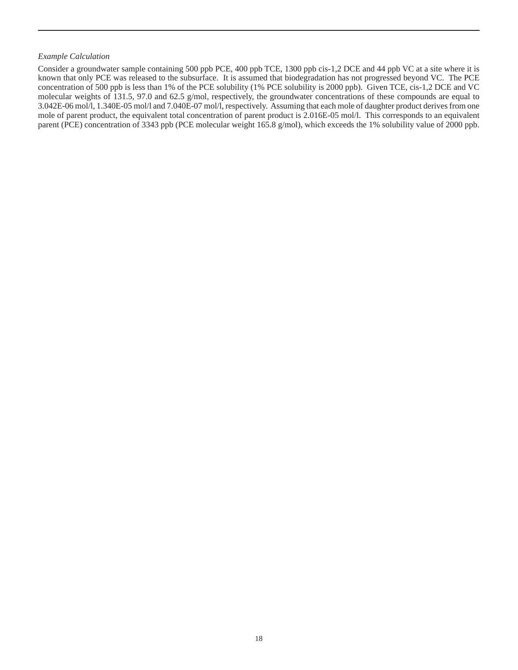Consider a groundwater sample containing 500 ppb PCE, 400 ppb TCE, 1300 ppb cis-1,2 DCE and 44 ppb VC at a site where it is known that only PCE was released to the subsurface. It is assumed that biodegradation has not progressed beyond VC. The PCE concentration of 500 ppb is less than 1% of the PCE solubility (1% PCE solubility is 2000 ppb). Given TCE, cis-1,2 DCE and VC molecular weights of 131.5, 97.0 and 62.5 g/mol, respectively, the groundwater concentrations of these compounds are equal to 3.042E-06 mol/l, 1.340E-05 mol/l and 7.040E-07 mol/l, respectively. Assuming that each mole of daughter product derives from one mole of parent product, the equivalent total concentration of parent product is 2.016E-05 mol/l. This corresponds to an equivalent parent (PCE) concentration of 3343 ppb (PCE molecular weight 165.8 g/mol), which exceeds the 1% solubility value of 2000 ppb.